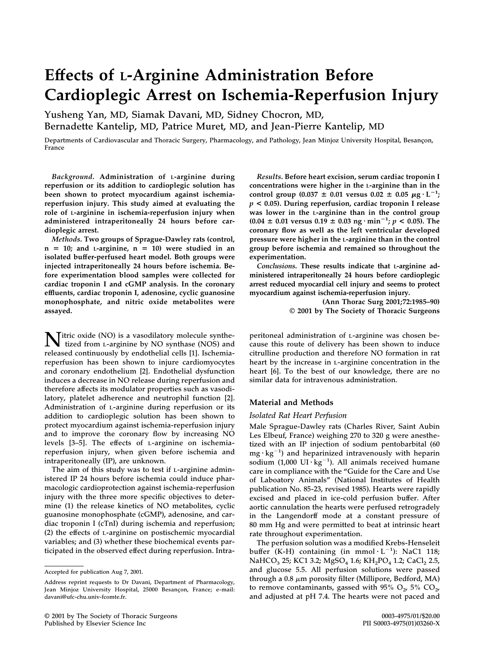# **Effects of L-Arginine Administration Before Cardioplegic Arrest on Ischemia-Reperfusion Injury**

**Yusheng Yan, MD, Siamak Davani, MD, Sidney Chocron, MD, Bernadette Kantelip, MD, Patrice Muret, MD, and Jean-Pierre Kantelip, MD**

Departments of Cardiovascular and Thoracic Surgery, Pharmacology, and Pathology, Jean Minjoz University Hospital, Besancon, **France**

*Background***. Administration of L-arginine during reperfusion or its addition to cardioplegic solution has been shown to protect myocardium against ischemiareperfusion injury. This study aimed at evaluating the role of L-arginine in ischemia-reperfusion injury when administered intraperitoneally 24 hours before cardioplegic arrest.**

*Methods***. Two groups of Sprague-Dawley rats (control,**  $n = 10$ ; and *L*-arginine,  $n = 10$ ) were studied in an **isolated buffer-perfused heart model. Both groups were injected intraperitoneally 24 hours before ischemia. Before experimentation blood samples were collected for cardiac troponin I and cGMP analysis. In the coronary effluents, cardiac troponin I, adenosine, cyclic guanosine monophosphate, and nitric oxide metabolites were assayed.**

**Nitric oxide (NO) is a vasodilatory molecule synthe-tized from** l**-arginine by NO synthase (NOS) and released continuously by endothelial cells [1]. Ischemiareperfusion has been shown to injure cardiomyocytes and coronary endothelium [2]. Endothelial dysfunction induces a decrease in NO release during reperfusion and therefore affects its modulator properties such as vasodilatory, platelet adherence and neutrophil function [2]. Administration of** l**-arginine during reperfusion or its addition to cardioplegic solution has been shown to protect myocardium against ischemia-reperfusion injury and to improve the coronary flow by increasing NO levels [3–5]. The effects of** l**-arginine on ischemiareperfusion injury, when given before ischemia and intraperitoneally (IP), are unknown.**

**The aim of this study was to test if** l**-arginine administered IP 24 hours before ischemia could induce pharmacologic cardioprotection against ischemia-reperfusion injury with the three more specific objectives to determine (1) the release kinetics of NO metabolites, cyclic guanosine monophosphate (cGMP), adenosine, and cardiac troponin I (cTnI) during ischemia and reperfusion; (2) the effects of** l**-arginine on postischemic myocardial variables; and (3) whether these biochemical events participated in the observed effect during reperfusion. Intra-**

*Results***. Before heart excision, serum cardiac troponin I concentrations were higher in the L-arginine than in the** control group  $(0.037 \pm 0.01 \text{ versus } 0.02 \pm 0.05 \text{ }\mu\text{g}\cdot\text{L}^{-1})$ *p* **< 0.05). During reperfusion, cardiac troponin I release was lower in the L-arginine than in the control group**  $(0.04 \pm 0.01 \text{ versus } 0.19 \pm 0.03 \text{ ng} \cdot \text{min}^{-1}; p < 0.05)$ . The **coronary flow as well as the left ventricular developed pressure were higher in the L-arginine than in the control group before ischemia and remained so throughout the experimentation.**

*Conclusions***. These results indicate that L-arginine administered intraperitoneally 24 hours before cardioplegic arrest reduced myocardial cell injury and seems to protect myocardium against ischemia-reperfusion injury.**

> **(Ann Thorac Surg 2001;72:1985–90) © 2001 by The Society of Thoracic Surgeons**

**peritoneal administration of** l**-arginine was chosen because this route of delivery has been shown to induce citrulline production and therefore NO formation in rat heart by the increase in** l**-arginine concentration in the heart [6]. To the best of our knowledge, there are no similar data for intravenous administration.**

#### **Material and Methods**

#### *Isolated Rat Heart Perfusion*

**Male Sprague-Dawley rats (Charles River, Saint Aubin Les Elbeuf, France) weighing 270 to 320 g were anesthetized with an IP injection of sodium pentobarbital (60 mg kg<sup>1</sup> ) and heparinized intravenously with heparin sodium (1,000 UI kg<sup>1</sup> ). All animals received humane care in compliance with the "Guide for the Care and Use of Laboatory Animals" (National Institutes of Health publication No. 85-23, revised 1985). Hearts were rapidly excised and placed in ice-cold perfusion buffer. After aortic cannulation the hearts were perfused retrogradely in the Langendorff mode at a constant pressure of 80 mm Hg and were permitted to beat at intrinsic heart rate throughout experimentation.**

**The perfusion solution was a modified Krebs-Henseleit**  $\text{buffer}$  (K-H) containing (in mmol $\cdot$ L<sup>-1</sup>): NaC1 118; **NaHCO<sub>3</sub> 25; KC1 3.2; MgSO<sub>4</sub> 1.6; KH<sub>2</sub>PO<sub>4</sub> 1.2; CaCl<sub>2</sub> 2.5, and glucose 5.5. All perfusion solutions were passed through a 0.8 m porosity filter (Millipore, Bedford, MA)** to remove contaminants, gassed with  $95\%$  O<sub>2</sub>,  $5\%$  CO<sub>2</sub>, **and adjusted at pH 7.4. The hearts were not paced and**

**Accepted for publication Aug 7, 2001.**

**Address reprint requests to Dr Davani, Department of Pharmacology,** Jean Minjoz University Hospital, 25000 Besançon, France; e-mail: **davani@ufc-chu.univ-fcomte.fr.**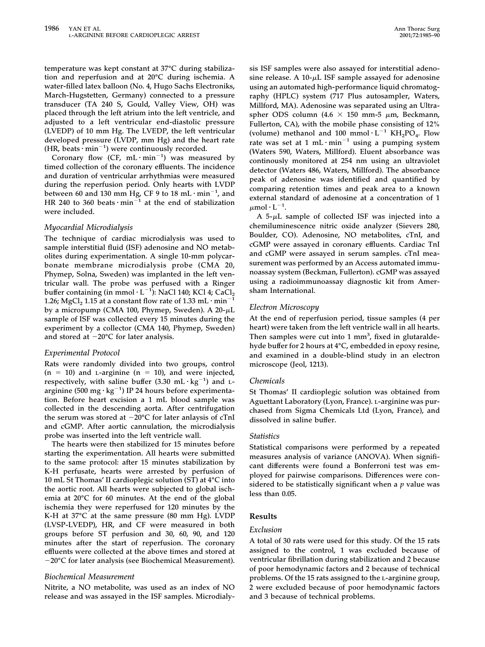**temperature was kept constant at 37°C during stabilization and reperfusion and at 20°C during ischemia. A water-filled latex balloon (No. 4, Hugo Sachs Electroniks, March-Hugstetten, Germany) connected to a pressure transducer (TA 240 S, Gould, Valley View, OH) was placed through the left atrium into the left ventricle, and adjusted to a left ventricular end-diastolic pressure (LVEDP) of 10 mm Hg. The LVEDP, the left ventricular developed pressure (LVDP, mm Hg) and the heart rate** (HR, beats  $\cdot$  min<sup>-1</sup>) were continuously recorded.

Coronary flow (CF,  $mL \cdot min^{-1}$ ) was measured by **timed collection of the coronary effluents. The incidence and duration of ventricular arrhythmias were measured during the reperfusion period. Only hearts with LVDP** between 60 and 130 mm Hg, CF 9 to 18 mL $\cdot$  min<sup>-1</sup>, and HR 240 to 360 beats  $\cdot$  min<sup> $\frac{3}{1}$ </sup> at the end of stabilization **were included.**

## *Myocardial Microdialysis*

**The technique of cardiac microdialysis was used to sample interstitial fluid (ISF) adenosine and NO metabolites during experimentation. A single 10-mm polycarbonate membrane microdialysis probe (CMA 20, Phymep, Solna, Sweden) was implanted in the left ventricular wall. The probe was perfused with a Ringer**  $\text{buffer containing (in mmol·L}^{-1})$ : NaCl 140; KCl 4; CaCl<sub>2</sub> 1.26; MgCl<sub>2</sub> 1.15 at a constant flow rate of 1.33 mL  $\cdot$  min<sup>-1</sup> **by a micropump (CMA 100, Phymep, Sweden). A 20-L sample of ISF was collected every 15 minutes during the experiment by a collector (CMA 140, Phymep, Sweden) and stored at 20°C for later analysis.**

# *Experimental Protocol*

**Rats were randomly divided into two groups, control**  $(n = 10)$  and L-arginine  $(n = 10)$ , and were injected, respectively, with saline buffer  $(3.30 \text{ mL} \cdot \text{kg}^{-1})$  and L**arginine (500 mg kg<sup>1</sup> ) IP 24 hours before experimentation. Before heart excision a 1 mL blood sample was collected in the descending aorta. After centrifugation the serum was stored at 20°C for later anlaysis of cTnI and cGMP. After aortic cannulation, the microdialysis probe was inserted into the left ventricle wall.**

**The hearts were then stabilized for 15 minutes before starting the experimentation. All hearts were submitted to the same protocol: after 15 minutes stabilization by K-H perfusate, hearts were arrested by perfusion of 10 mL St Thomas' II cardioplegic solution (ST) at 4°C into the aortic root. All hearts were subjected to global ischemia at 20°C for 60 minutes. At the end of the global ischemia they were reperfused for 120 minutes by the K-H at 37°C at the same pressure (80 mm Hg). LVDP (LVSP-LVEDP), HR, and CF were measured in both groups before ST perfusion and 30, 60, 90, and 120 minutes after the start of reperfusion. The coronary effluents were collected at the above times and stored at 20°C for later analysis (see Biochemical Measurement).**

# *Biochemical Measurement*

**Nitrite, a NO metabolite, was used as an index of NO release and was assayed in the ISF samples. Microdialy-** **sis ISF samples were also assayed for interstitial adenosine release. A 10-L ISF sample assayed for adenosine using an automated high-performance liquid chromatography (HPLC) system (717 Plus autosampler, Waters, Millford, MA). Adenosine was separated using an Ultra**spher ODS column  $(4.6 \times 150 \text{ mm} \cdot 5 \mu \text{m})$ , Beckmann, **Fullerton, CA), with the mobile phase consisting of 12%** (volume) methanol and  $100 \text{ mmol} \cdot L^{-1} \text{ KH}_2PO_4$ . Flow **rate was set at 1 mL min<sup>1</sup> using a pumping system (Waters 590, Waters, Millford). Eluent absorbance was continously monitored at 254 nm using an ultraviolet detector (Waters 486, Waters, Millford). The absorbance peak of adenosine was identified and quantified by comparing retention times and peak area to a known external standard of adenosine at a concentration of 1**  $\mu$ mol·L<sup>-1</sup>.

**A 5-L sample of collected ISF was injected into a chemiluminescence nitric oxide analyzer (Sievers 280, Boulder, CO). Adenosine, NO metabolites, cTnI, and cGMP were assayed in coronary effluents. Cardiac TnI and cGMP were assayed in serum samples. cTnI measurement was performed by an Access automated immunoassay system (Beckman, Fullerton). cGMP was assayed using a radioimmunoassay diagnostic kit from Amersham International.**

# *Electron Microscopy*

**At the end of reperfusion period, tissue samples (4 per heart) were taken from the left ventricle wall in all hearts.** Then samples were cut into 1 mm<sup>3</sup>, fixed in glutaralde**hyde buffer for 2 hours at 4°C, embedded in epoxy resine, and examined in a double-blind study in an electron microscope (Jeol, 1213).**

## *Chemicals*

**St Thomas' II cardioplegic solution was obtained from Aguettant Laboratory (Lyon, France).** l**-arginine was purchased from Sigma Chemicals Ltd (Lyon, France), and dissolved in saline buffer.**

# *Statistics*

**Statistical comparisons were performed by a repeated measures analysis of variance (ANOVA). When significant differents were found a Bonferroni test was employed for pairwise comparisons. Differences were considered to be statistically significant when a** *p* **value was less than 0.05.**

# **Results**

## *Exclusion*

**A total of 30 rats were used for this study. Of the 15 rats assigned to the control, 1 was excluded because of ventricular fibrillation during stabilization and 2 because of poor hemodynamic factors and 2 because of technical problems. Of the 15 rats assigned to the** l**-arginine group, 2 were excluded because of poor hemodynamic factors and 3 because of technical problems.**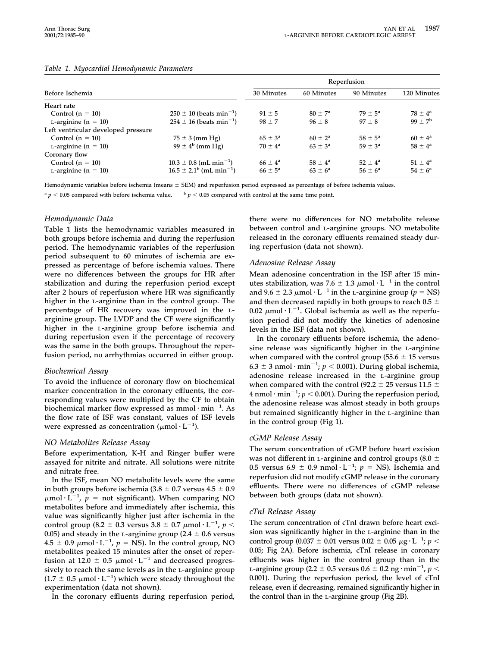|                                     | Reperfusion                              |                    |                    |                    |                    |
|-------------------------------------|------------------------------------------|--------------------|--------------------|--------------------|--------------------|
| Before Ischemia                     |                                          | 30 Minutes         | 60 Minutes         | 90 Minutes         | 120 Minutes        |
| Heart rate                          |                                          |                    |                    |                    |                    |
| Control $(n = 10)$                  | $250 \pm 10$ (beats min <sup>-1</sup> )  | $91 \pm 5$         | $80 + 7^a$         | $79 + 5^a$         | $78 + 4^a$         |
| L-arginine ( $n = 10$ )             | $254 \pm 16$ (beats min <sup>-1</sup> )  | $98 \pm 7$         | $96 \pm 8$         | $97 + 8$           | $99 + 7^b$         |
| Left ventricular developed pressure |                                          |                    |                    |                    |                    |
| Control $(n = 10)$                  | $75 \pm 3$ (mm Hg)                       | $65 \pm 3^{\circ}$ | $60 \pm 2^a$       | $58 \pm 5^{\circ}$ | $60 \pm 4^a$       |
| L-arginine ( $n = 10$ )             | $99 \pm 4^{b}$ (mm Hg)                   | $70 + 4^a$         | $63 \pm 3^a$       | $59 \pm 3^{\circ}$ | $58 \pm 4^{\circ}$ |
| Coronary flow                       |                                          |                    |                    |                    |                    |
| Control $(n = 10)$                  | $10.3 \pm 0.8$ (mL min <sup>-1</sup> )   | $66 \pm 4^{\circ}$ | $58 \pm 4^{\circ}$ | $52 + 4^a$         | $51 \pm 4^a$       |
| $L$ -arginine (n = 10)              | $16.5 \pm 2.1^b$ (mL min <sup>-1</sup> ) | $66 \pm 5^{\circ}$ | $63 \pm 6^{\circ}$ | $56 \pm 6^{\circ}$ | $54 \pm 6^{\circ}$ |

#### *Table 1. Myocardial Hemodynamic Parameters*

**Hemodynamic variables before ischemia (means SEM) and reperfusion period expressed as percentage of before ischemia values.**

 $a$  *p*  $\leq$  0.05 compared with before ischemia value.  $b$  *p*  $\leq$  0.05 compared with control at the same time point.

#### *Hemodynamic Data*

**Table 1 lists the hemodynamic variables measured in both groups before ischemia and during the reperfusion period. The hemodynamic variables of the reperfusion period subsequent to 60 minutes of ischemia are expressed as percentage of before ischemia values. There were no differences between the groups for HR after stabilization and during the reperfusion period except after 2 hours of reperfusion where HR was significantly higher in the** l**-arginine than in the control group. The percentage of HR recovery was improved in the** l**arginine group. The LVDP and the CF were significantly higher in the** l**-arginine group before ischemia and during reperfusion even if the percentage of recovery was the same in the both groups. Throughout the reperfusion period, no arrhythmias occurred in either group.**

## *Biochemical Assay*

**To avoid the influence of coronary flow on biochemical marker concentration in the coronary effluents, the corresponding values were multiplied by the CF to obtain biochemical marker flow expressed as mmol min<sup>1</sup> . As the flow rate of ISF was constant, values of ISF levels** were expressed as concentration ( $\mu$ mol· $L^{-1}$ ).

## *NO Metabolites Release Assay*

**Before experimentation, K-H and Ringer buffer were assayed for nitrite and nitrate. All solutions were nitrite and nitrate free.**

**In the ISF, mean NO metabolite levels were the same** in both groups before ischemia  $(3.8 \pm 0.7 \text{ versus } 4.5 \pm 0.9)$  $\mu$ mol·L<sup>-1</sup>,  $p =$  not significant). When comparing NO **metabolites before and immediately after ischemia, this value was significantly higher just after ischemia in the control group (8.2**  $\pm$  **0.3** versus 3.8  $\pm$  0.7  $\mu$ mol·L<sup>-1</sup>, p < 0.05) and steady in the L-arginine group  $(2.4 \pm 0.6 \text{ versus}$  $4.5 \pm 0.9 \mu \text{mol} \cdot \text{L}^{-1}$ ,  $p = \text{NS}$ ). In the control group, NO **metabolites peaked 15 minutes after the onset of reper**fusion at 12.0  $\pm$  0.5  $\mu$ mol·L<sup>-1</sup> and decreased progres**sively to reach the same levels as in the** l**-arginine group**  $(1.7 \pm 0.5 \mu \text{mol} \cdot \text{L}^{-1})$  which were steady throughout the **experimentation (data not shown).**

**In the coronary effluents during reperfusion period,**

**there were no differences for NO metabolite release between control and** l**-arginine groups. NO metabolite released in the coronary effluents remained steady during reperfusion (data not shown).**

#### *Adenosine Release Assay*

**Mean adenosine concentration in the ISF after 15 minutes stabilization, was 7.6**  $\pm$  1.3  $\mu$ mol $\cdot$  **L**<sup>-1</sup> in the control and 9.6  $\pm$  2.3  $\mu$ mol  $\cdot$  L $^{-1}$  in the L-arginine group ( $p = \text{NS}$ ) **and then decreased rapidly in both groups to reach 0.5**  $0.02 \mu$ mol·L<sup>-1</sup>. Global ischemia as well as the reperfu**sion period did not modify the kinetics of adenosine levels in the ISF (data not shown).**

**In the coronary effluents before ischemia, the adenosine release was significantly higher in the** l**-arginine** when compared with the control group  $(55.6 \pm 15 \text{ versus}$  $6.3 \pm 3$  nmol·min<sup>-1</sup>;  $p < 0.001$ ). During global ischemia, **adenosine release increased in the** l**-arginine group** when compared with the control (92.2  $\pm$  25 versus 11.5  $\pm$ **4 nmol min<sup>1</sup> ;** *p* **0.001). During the reperfusion period, the adenosine release was almost steady in both groups but remained significantly higher in the** l**-arginine than in the control group (Fig 1).**

## *cGMP Release Assay*

**The serum concentration of cGMP before heart excision** was not different in L-arginine and control groups (8.0  $\pm$ 0.5 versus 6.9  $\pm$  0.9 nmol·L<sup>-1</sup>;  $p = NS$ ). Ischemia and **reperfusion did not modify cGMP release in the coronary effluents. There were no differences of cGMP release between both groups (data not shown).**

#### *cTnI Release Assay*

**The serum concentration of cTnI drawn before heart excision was significantly higher in the** l**-arginine than in the**  $\epsilon$  control group (0.037  $\pm$  0.01 versus 0.02  $\pm$  0.05  $\mu$ g·L<sup>-1</sup>;  $p$  < **0.05; Fig 2A). Before ischemia, cTnI release in coronary effluents was higher in the control group than in the** l**-arginine group (2.2 0.5 versus 0.6 0.2 ng min<sup>1</sup> ,** *p* **0.001). During the reperfusion period, the level of cTnI release, even if decreasing, remained significantly higher in the control than in the** l**-arginine group (Fig 2B).**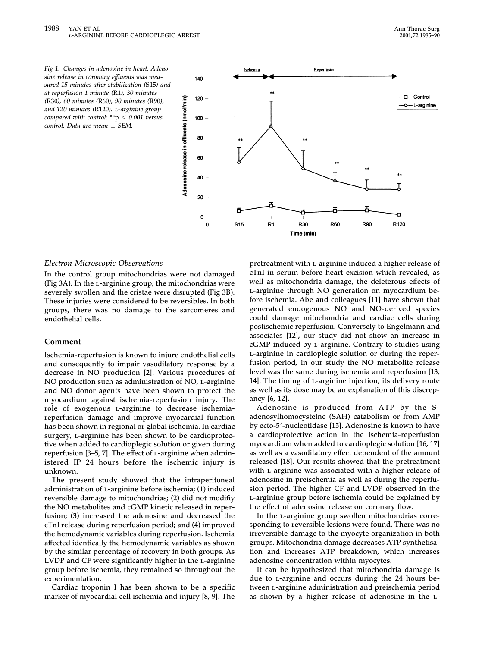*Fig 1. Changes in adenosine in heart. Adenosine release in coronary effluents was measured 15 minutes after stabilization (***S15***) and at reperfusion 1 minute (***R1***), 30 minutes (***R30***), 60 minutes (***R60***), 90 minutes (***R90***), and 120 minutes (***R120***).* <sup>l</sup>*-arginine group compared with control: \*\****p** *0.001 versus control. Data are mean SEM.*



#### *Electron Microscopic Observations*

**In the control group mitochondrias were not damaged (Fig 3A). In the** l**-arginine group, the mitochondrias were severely swollen and the cristae were disrupted (Fig 3B). These injuries were considered to be reversibles. In both groups, there was no damage to the sarcomeres and endothelial cells.**

### **Comment**

**Ischemia-reperfusion is known to injure endothelial cells and consequently to impair vasodilatory response by a decrease in NO production [2]. Various procedures of NO production such as administration of NO,** l**-arginine and NO donor agents have been shown to protect the myocardium against ischemia-reperfusion injury. The** role of exogenous *L*-arginine to decrease ischemia**reperfusion damage and improve myocardial function has been shown in regional or global ischemia. In cardiac surgery,** l**-arginine has been shown to be cardioprotective when added to cardioplegic solution or given during reperfusion [3–5, 7]. The effect of** l**-arginine when administered IP 24 hours before the ischemic injury is unknown.**

**The present study showed that the intraperitoneal administration of** l**-arginine before ischemia; (1) induced reversible damage to mitochondrias; (2) did not modifiy the NO metabolites and cGMP kinetic released in reperfusion; (3) increased the adenosine and decreased the cTnI release during reperfusion period; and (4) improved the hemodynamic variables during reperfusion. Ischemia affected identically the hemodynamic variables as shown by the similar percentage of recovery in both groups. As LVDP and CF were significantly higher in the** l**-arginine group before ischemia, they remained so throughout the experimentation.**

**Cardiac troponin I has been shown to be a specific marker of myocardial cell ischemia and injury [8, 9]. The**

**pretreatment with** l**-arginine induced a higher release of cTnI in serum before heart excision which revealed, as well as mitochondria damage, the deleterous effects of** l**-arginine through NO generation on myocardium before ischemia. Abe and colleagues [11] have shown that generated endogenous NO and NO-derived species could damage mitochondria and cardiac cells during postischemic reperfusion. Conversely to Engelmann and associates [12], our study did not show an increase in cGMP induced by** l**-arginine. Contrary to studies using** l**-arginine in cardioplegic solution or during the reperfusion period, in our study the NO metabolite release level was the same during ischemia and reperfusion [13, 14]. The timing of** l**-arginine injection, its delivery route as well as its dose may be an explanation of this discrepancy [6, 12].**

**Adenosine is produced from ATP by the Sadenosylhomocysteine (SAH) catabolism or from AMP by ecto-5-nucleotidase [15]. Adenosine is known to have a cardioprotective action in the ischemia-reperfusion myocardium when added to cardioplegic solution [16, 17] as well as a vasodilatory effect dependent of the amount released [18]. Our results showed that the pretreatment with** l**-arginine was associated with a higher release of adenosine in preischemia as well as during the reperfusion period. The higher CF and LVDP observed in the** l**-arginine group before ischemia could be explained by the effect of adenosine release on coronary flow.**

**In the** l**-arginine group swollen mitochondrias corresponding to reversible lesions were found. There was no irreversible damage to the myocyte organization in both groups. Mitochondria damage decreases ATP synthetisation and increases ATP breakdown, which increases adenosine concentration within myocytes.**

**It can be hypothesized that mitochondria damage is due to** l**-arginine and occurs during the 24 hours between** l**-arginine administration and preischemia period as shown by a higher release of adenosine in the** l**-**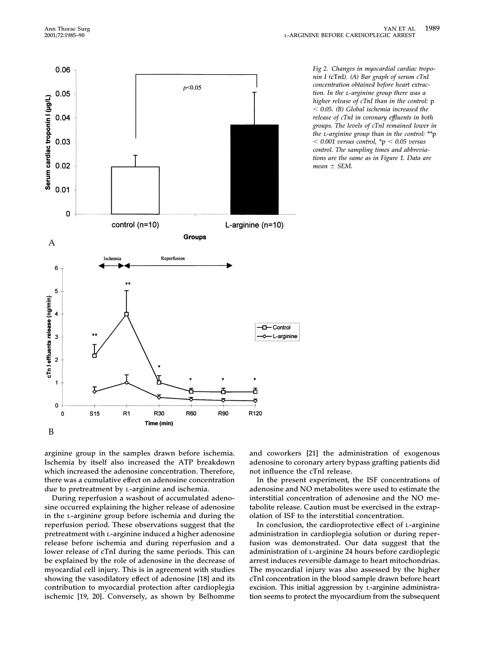

*Fig 2. Changes in myocardial cardiac troponin I (***cTnI***). (A) Bar graph of serum cTnI concentration obtained before heart extraction. In the* <sup>l</sup>*-arginine group there was a higher release of cTnI than in the control:* **p** *0.05. (B) Global ischemia increased the release of cTnI in coronary effluents in both groups. The levels of cTnI remained lower in the* <sup>l</sup>*-arginine group than in the control: \*\****p** *0.001 versus control, \****p** *0.05 versus control. The sampling times and abbreviations are the same as in Figure 1. Data are mean SEM.*

**arginine group in the samples drawn before ischemia. Ischemia by itself also increased the ATP breakdown which increased the adenosine concentration. Therefore, there was a cumulative effect on adenosine concentration due to pretreatment by** l**-arginine and ischemia.**

**During reperfusion a washout of accumulated adenosine occurred explaining the higher release of adenosine in the** l**-arginine group before ischemia and during the reperfusion period. These observations suggest that the pretreatment with** l**-arginine induced a higher adenosine release before ischemia and during reperfusion and a lower release of cTnI during the same periods. This can be explained by the role of adenosine in the decrease of myocardial cell injury. This is in agreement with studies showing the vasodilatory effect of adenosine [18] and its contribution to myocardial protection after cardioplegia ischemic [19, 20]. Conversely, as shown by Belhomme**

**and coworkers [21] the administration of exogenous adenosine to coronary artery bypass grafting patients did not influence the cTnI release.**

**In the present experiment, the ISF concentrations of adenosine and NO metabolites were used to estimate the interstitial concentration of adenosine and the NO metabolite release. Caution must be exercised in the extrapolation of ISF to the interstitial concentration.**

**In conclusion, the cardioprotective effect of** l**-arginine administration in cardioplegia solution or during reperfusion was demonstrated. Our data suggest that the administration of** l**-arginine 24 hours before cardioplegic arrest induces reversible damage to heart mitochondrias. The myocardial injury was also assessed by the higher cTnI concentration in the blood sample drawn before heart excision. This initial aggression by** l**-arginine administration seems to protect the myocardium from the subsequent**